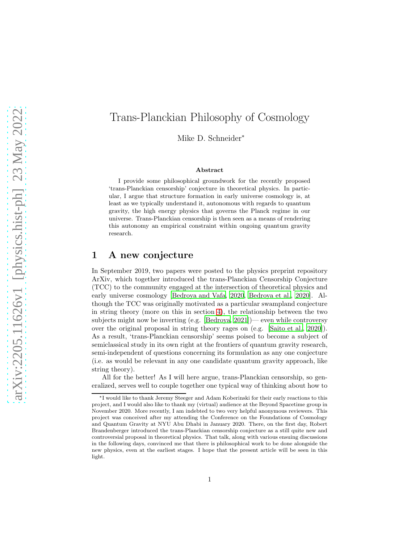# Trans-Planckian Philosophy of Cosmology

Mike D. Schneider<sup>∗</sup>

#### Abstract

I provide some philosophical groundwork for the recently proposed 'trans-Planckian censorship' conjecture in theoretical physics. In particular, I argue that structure formation in early universe cosmology is, at least as we typically understand it, autonomous with regards to quantum gravity, the high energy physics that governs the Planck regime in our universe. Trans-Planckian censorship is then seen as a means of rendering this autonomy an empirical constraint within ongoing quantum gravity research.

### 1 A new conjecture

In September 2019, two papers were posted to the physics preprint repository ArXiv, which together introduced the trans-Planckian Censorship Conjecture (TCC) to the community engaged at the intersection of theoretical physics and early universe cosmology [\[Bedroya and Vafa, 2020,](#page-20-0) [Bedroya et al.,](#page-20-1) [2020\]](#page-20-1). Although the TCC was originally motivated as a particular swampland conjecture in string theory (more on this in section [4\)](#page-16-0), the relationship between the two subjects might now be inverting (e.g. [\[Bedroya, 2021\]](#page-20-2))— even while controversy over the original proposal in string theory rages on (e.g. [\[Saito et](#page-22-0) al., [2020](#page-22-0)]). As a result, 'trans-Planckian censorship' seems poised to become a subject of semiclassical study in its own right at the frontiers of quantum gravity research, semi-independent of questions concerning its formulation as any one conjecture (i.e. as would be relevant in any one candidate quantum gravity approach, like string theory).

All for the better! As I will here argue, trans-Planckian censorship, so generalized, serves well to couple together one typical way of thinking about how to

<sup>∗</sup> I would like to thank Jeremy Steeger and Adam Koberinski for their early reactions to this project, and I would also like to thank my (virtual) audience at the Beyond Spacetime group in November 2020. More recently, I am indebted to two very helpful anonymous reviewers. This project was conceived after my attending the Conference on the Foundations of Cosmology and Quantum Gravity at NYU Abu Dhabi in January 2020. There, on the first day, Robert Brandenberger introduced the trans-Planckian censorship conjecture as a still quite new and controversial proposal in theoretical physics. That talk, along with various ensuing discussions in the following days, convinced me that there is philosophical work to be done alongside the new physics, even at the earliest stages. I hope that the present article will be seen in this light.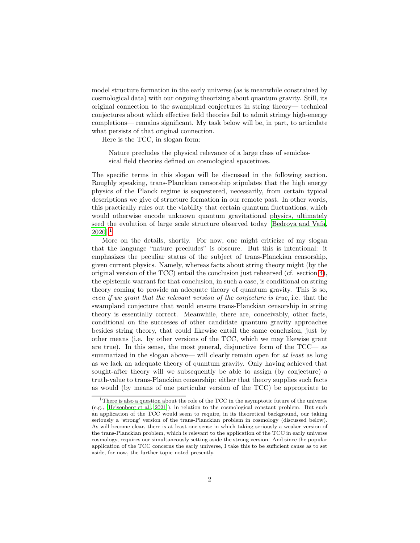model structure formation in the early universe (as is meanwhile constrained by cosmological data) with our ongoing theorizing about quantum gravity. Still, its original connection to the swampland conjectures in string theory— technical conjectures about which effective field theories fail to admit stringy high-energy completions— remains significant. My task below will be, in part, to articulate what persists of that original connection.

Here is the TCC, in slogan form:

Nature precludes the physical relevance of a large class of semiclassical field theories defined on cosmological spacetimes.

The specific terms in this slogan will be discussed in the following section. Roughly speaking, trans-Planckian censorship stipulates that the high energy physics of the Planck regime is sequestered, necessarily, from certain typical descriptions we give of structure formation in our remote past. In other words, this practically rules out the viability that certain quantum fluctuations, which would otherwise encode unknown quantum gravitational physics, ultimately seed the evolution of large scale structure observed today [\[Bedroya and Vafa,](#page-20-0)  $2020$ ].<sup>[1](#page-1-0)</sup>

More on the details, shortly. For now, one might criticize of my slogan that the language "nature precludes" is obscure. But this is intentional: it emphasizes the peculiar status of the subject of trans-Planckian censorship, given current physics. Namely, whereas facts about string theory might (by the original version of the TCC) entail the conclusion just rehearsed (cf. section [4\)](#page-16-0), the epistemic warrant for that conclusion, in such a case, is conditional on string theory coming to provide an adequate theory of quantum gravity. This is so, even if we grant that the relevant version of the conjecture is true, i.e. that the swampland conjecture that would ensure trans-Planckian censorship in string theory is essentially correct. Meanwhile, there are, conceivably, other facts, conditional on the successes of other candidate quantum gravity approaches besides string theory, that could likewise entail the same conclusion, just by other means (i.e. by other versions of the TCC, which we may likewise grant are true). In this sense, the most general, disjunctive form of the TCC— as summarized in the slogan above— will clearly remain open for at least as long as we lack an adequate theory of quantum gravity. Only having achieved that sought-after theory will we subsequently be able to assign (by conjecture) a truth-value to trans-Planckian censorship: either that theory supplies such facts as would (by means of one particular version of the TCC) be appropriate to

<span id="page-1-0"></span><sup>&</sup>lt;sup>1</sup>There is also a question about the role of the TCC in the asymptotic future of the universe (e.g., [\[Heisenberg et al., 2021](#page-21-0)]), in relation to the cosmological constant problem. But such an application of the TCC would seem to require, in its theoretical background, our taking seriously a 'strong' version of the trans-Planckian problem in cosmology (discussed below). As will become clear, there is at least one sense in which taking seriously a weaker version of the trans-Planckian problem, which is relevant to the application of the TCC in early universe cosmology, requires our simultaneously setting aside the strong version. And since the popular application of the TCC concerns the early universe, I take this to be sufficient cause as to set aside, for now, the further topic noted presently.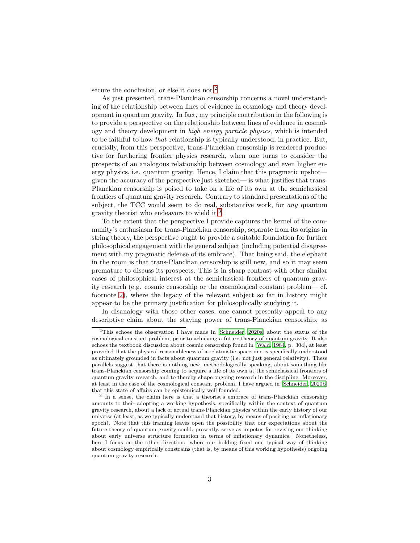secure the conclusion, or else it does not.<sup>[2](#page-2-0)</sup>

As just presented, trans-Planckian censorship concerns a novel understanding of the relationship between lines of evidence in cosmology and theory development in quantum gravity. In fact, my principle contribution in the following is to provide a perspective on the relationship between lines of evidence in cosmology and theory development in high energy particle physics, which is intended to be faithful to how that relationship is typically understood, in practice. But, crucially, from this perspective, trans-Planckian censorship is rendered productive for furthering frontier physics research, when one turns to consider the prospects of an analogous relationship between cosmology and even higher energy physics, i.e. quantum gravity. Hence, I claim that this pragmatic upshot given the accuracy of the perspective just sketched— is what justifies that trans-Planckian censorship is poised to take on a life of its own at the semiclassical frontiers of quantum gravity research. Contrary to standard presentations of the subject, the TCC would seem to do real, substantive work, for any quantum gravity theorist who endeavors to wield it.[3](#page-2-1)

To the extent that the perspective I provide captures the kernel of the community's enthusiasm for trans-Planckian censorship, separate from its origins in string theory, the perspective ought to provide a suitable foundation for further philosophical engagement with the general subject (including potential disagreement with my pragmatic defense of its embrace). That being said, the elephant in the room is that trans-Planckian censorship is still new, and so it may seem premature to discuss its prospects. This is in sharp contrast with other similar cases of philosophical interest at the semiclassical frontiers of quantum gravity research (e.g. cosmic censorship or the cosmological constant problem— cf. footnote [2\)](#page-2-0), where the legacy of the relevant subject so far in history might appear to be the primary justification for philosophically studying it.

In disanalogy with those other cases, one cannot presently appeal to any descriptive claim about the staying power of trans-Planckian censorship, as

<span id="page-2-0"></span><sup>2</sup>This echoes the observation I have made in [\[Schneider](#page-22-1), [2020a](#page-22-1)] about the status of the cosmological constant problem, prior to achieving a future theory of quantum gravity. It also echoes the textbook discussion about cosmic censorship found in [\[Wald, 1984](#page-22-2), p. 304], at least provided that the physical reasonableness of a relativistic spacetime is specifically understood as ultimately grounded in facts about quantum gravity (i.e. not just general relativity). These parallels suggest that there is nothing new, methodologically speaking, about something like trans-Planckian censorship coming to acquire a life of its own at the semiclassical frontiers of quantum gravity research, and to thereby shape ongoing research in the discipline. Moreover, at least in the case of the cosmological constant problem, I have argued in [\[Schneider](#page-22-3), [2020b](#page-22-3)] that this state of affairs can be epistemically well founded.

<span id="page-2-1"></span><sup>&</sup>lt;sup>3</sup> In a sense, the claim here is that a theorist's embrace of trans-Planckian censorship amounts to their adopting a working hypothesis, specifically within the context of quantum gravity research, about a lack of actual trans-Planckian physics within the early history of our universe (at least, as we typically understand that history, by means of positing an inflationary epoch). Note that this framing leaves open the possibility that our expectations about the future theory of quantum gravity could, presently, serve as impetus for revising our thinking about early universe structure formation in terms of inflationary dynamics. Nonetheless, here I focus on the other direction: where our holding fixed one typical way of thinking about cosmology empirically constrains (that is, by means of this working hypothesis) ongoing quantum gravity research.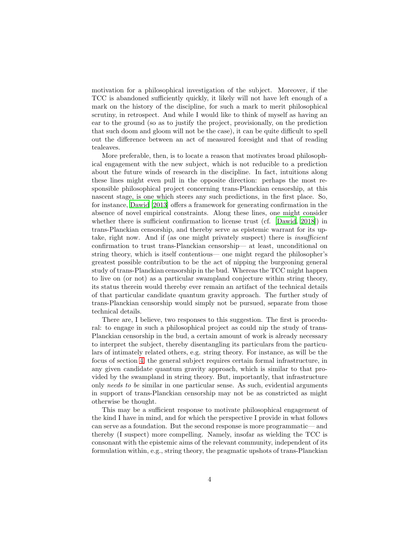motivation for a philosophical investigation of the subject. Moreover, if the TCC is abandoned sufficiently quickly, it likely will not have left enough of a mark on the history of the discipline, for such a mark to merit philosophical scrutiny, in retrospect. And while I would like to think of myself as having an ear to the ground (so as to justify the project, provisionally, on the prediction that such doom and gloom will not be the case), it can be quite difficult to spell out the difference between an act of measured foresight and that of reading tealeaves.

More preferable, then, is to locate a reason that motivates broad philosophical engagement with the new subject, which is not reducible to a prediction about the future winds of research in the discipline. In fact, intuitions along these lines might even pull in the opposite direction: perhaps the most responsible philosophical project concerning trans-Planckian censorship, at this nascent stage, is one which steers any such predictions, in the first place. So, for instance, [Dawid \[2013](#page-21-1)] offers a framework for generating confirmation in the absence of novel empirical constraints. Along these lines, one might consider whether there is sufficient confirmation to license trust (cf. [\[Dawid,](#page-21-2) [2018\]](#page-21-2)) in trans-Planckian censorship, and thereby serve as epistemic warrant for its uptake, right now. And if (as one might privately suspect) there is *insufficient* confirmation to trust trans-Planckian censorship— at least, unconditional on string theory, which is itself contentious— one might regard the philosopher's greatest possible contribution to be the act of nipping the burgeoning general study of trans-Planckian censorship in the bud. Whereas the TCC might happen to live on (or not) as a particular swampland conjecture within string theory, its status therein would thereby ever remain an artifact of the technical details of that particular candidate quantum gravity approach. The further study of trans-Planckian censorship would simply not be pursued, separate from those technical details.

There are, I believe, two responses to this suggestion. The first is procedural: to engage in such a philosophical project as could nip the study of trans-Planckian censorship in the bud, a certain amount of work is already necessary to interpret the subject, thereby disentangling its particulars from the particulars of intimately related others, e.g. string theory. For instance, as will be the focus of section [4,](#page-16-0) the general subject requires certain formal infrastructure, in any given candidate quantum gravity approach, which is similar to that provided by the swampland in string theory. But, importantly, that infrastructure only needs to be similar in one particular sense. As such, evidential arguments in support of trans-Planckian censorship may not be as constricted as might otherwise be thought.

This may be a sufficient response to motivate philosophical engagement of the kind I have in mind, and for which the perspective I provide in what follows can serve as a foundation. But the second response is more programmatic— and thereby (I suspect) more compelling. Namely, insofar as wielding the TCC is consonant with the epistemic aims of the relevant community, independent of its formulation within, e.g., string theory, the pragmatic upshots of trans-Planckian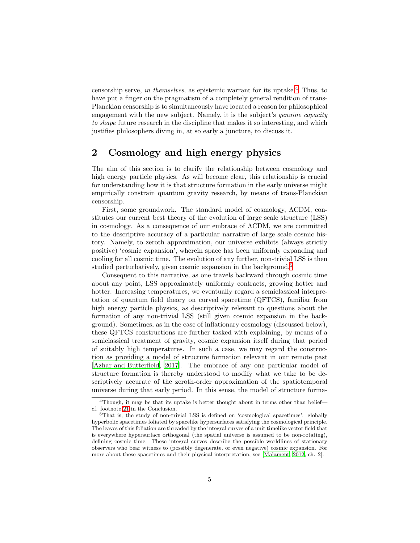censorship serve, in themselves, as epistemic warrant for its uptake.<sup>[4](#page-4-0)</sup> Thus, to have put a finger on the pragmatism of a completely general rendition of trans-Planckian censorship is to simultaneously have located a reason for philosophical engagement with the new subject. Namely, it is the subject's *genuine capacity* to shape future research in the discipline that makes it so interesting, and which justifies philosophers diving in, at so early a juncture, to discuss it.

# <span id="page-4-2"></span>2 Cosmology and high energy physics

The aim of this section is to clarify the relationship between cosmology and high energy particle physics. As will become clear, this relationship is crucial for understanding how it is that structure formation in the early universe might empirically constrain quantum gravity research, by means of trans-Planckian censorship.

First, some groundwork. The standard model of cosmology, ΛCDM, constitutes our current best theory of the evolution of large scale structure (LSS) in cosmology. As a consequence of our embrace of ΛCDM, we are committed to the descriptive accuracy of a particular narrative of large scale cosmic history. Namely, to zeroth approximation, our universe exhibits (always strictly positive) 'cosmic expansion', wherein space has been uniformly expanding and cooling for all cosmic time. The evolution of any further, non-trivial LSS is then studied perturbatively, given cosmic expansion in the background.<sup>[5](#page-4-1)</sup>

Consequent to this narrative, as one travels backward through cosmic time about any point, LSS approximately uniformly contracts, growing hotter and hotter. Increasing temperatures, we eventually regard a semiclassical interpretation of quantum field theory on curved spacetime (QFTCS), familiar from high energy particle physics, as descriptively relevant to questions about the formation of any non-trivial LSS (still given cosmic expansion in the background). Sometimes, as in the case of inflationary cosmology (discussed below), these QFTCS constructions are further tasked with explaining, by means of a semiclassical treatment of gravity, cosmic expansion itself during that period of suitably high temperatures. In such a case, we may regard the construction as providing a model of structure formation relevant in our remote past [\[Azhar and Butterfield](#page-20-3), [2017](#page-20-3)]. The embrace of any one particular model of structure formation is thereby understood to modify what we take to be descriptively accurate of the zeroth-order approximation of the spatiotemporal universe during that early period. In this sense, the model of structure forma-

<sup>&</sup>lt;sup>4</sup>Though, it may be that its uptake is better thought about in terms other than belief cf. footnote [21](#page-20-4) in the Conclusion.

<span id="page-4-1"></span><span id="page-4-0"></span><sup>5</sup>That is, the study of non-trivial LSS is defined on 'cosmological spacetimes': globally hyperbolic spacetimes foliated by spacelike hypersurfaces satisfying the cosmological principle. The leaves of this foliation are threaded by the integral curves of a unit timelike vector field that is everywhere hypersurface orthogonal (the spatial universe is assumed to be non-rotating), defining cosmic time. These integral curves describe the possible worldlines of stationary observers who bear witness to (possibly degenerate, or even negative) cosmic expansion. For more about these spacetimes and their physical interpretation, see [\[Malament, 2012,](#page-21-3) ch. 2].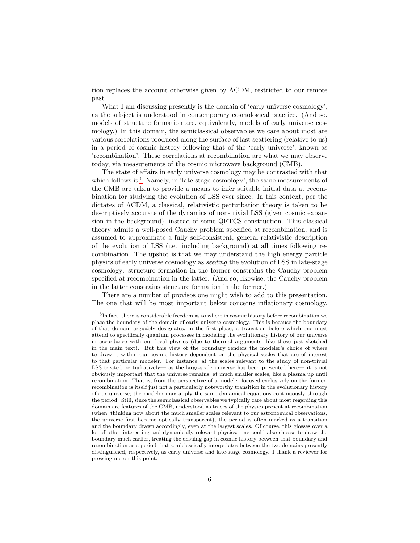tion replaces the account otherwise given by ΛCDM, restricted to our remote past.

What I am discussing presently is the domain of 'early universe cosmology', as the subject is understood in contemporary cosmological practice. (And so, models of structure formation are, equivalently, models of early universe cosmology.) In this domain, the semiclassical observables we care about most are various correlations produced along the surface of last scattering (relative to us) in a period of cosmic history following that of the 'early universe', known as 'recombination'. These correlations at recombination are what we may observe today, via measurements of the cosmic microwave background (CMB).

The state of affairs in early universe cosmology may be contrasted with that which follows it. $^6$  $^6$  Namely, in 'late-stage cosmology', the same measurements of the CMB are taken to provide a means to infer suitable initial data at recombination for studying the evolution of LSS ever since. In this context, per the dictates of ΛCDM, a classical, relativistic perturbation theory is taken to be descriptively accurate of the dynamics of non-trivial LSS (given cosmic expansion in the background), instead of some QFTCS construction. This classical theory admits a well-posed Cauchy problem specified at recombination, and is assumed to approximate a fully self-consistent, general relativistic description of the evolution of LSS (i.e. including background) at all times following recombination. The upshot is that we may understand the high energy particle physics of early universe cosmology as seeding the evolution of LSS in late-stage cosmology: structure formation in the former constrains the Cauchy problem specified at recombination in the latter. (And so, likewise, the Cauchy problem in the latter constrains structure formation in the former.)

There are a number of provisos one might wish to add to this presentation. The one that will be most important below concerns inflationary cosmology.

<span id="page-5-0"></span><sup>&</sup>lt;sup>6</sup>In fact, there is considerable freedom as to where in cosmic history before recombination we place the boundary of the domain of early universe cosmology. This is because the boundary of that domain arguably designates, in the first place, a transition before which one must attend to specifically quantum processes in modeling the evolutionary history of our universe in accordance with our local physics (due to thermal arguments, like those just sketched in the main text). But this view of the boundary renders the modeler's choice of where to draw it within our cosmic history dependent on the physical scales that are of interest to that particular modeler. For instance, at the scales relevant to the study of non-trivial LSS treated perturbatively— as the large-scale universe has been presented here— it is not obviously important that the universe remains, at much smaller scales, like a plasma up until recombination. That is, from the perspective of a modeler focused exclusively on the former, recombination is itself just not a particularly noteworthy transition in the evolutionary history of our universe; the modeler may apply the same dynamical equations continuously through the period. Still, since the semiclassical observables we typically care about most regarding this domain are features of the CMB, understood as traces of the physics present at recombination (when, thinking now about the much smaller scales relevant to our astronomical observations, the universe first became optically transparent), the period is often marked as a transition and the boundary drawn accordingly, even at the largest scales. Of course, this glosses over a lot of other interesting and dynamically relevant physics: one could also choose to draw the boundary much earlier, treating the ensuing gap in cosmic history between that boundary and recombination as a period that semiclassically interpolates between the two domains presently distinguished, respectively, as early universe and late-stage cosmology. I thank a reviewer for pressing me on this point.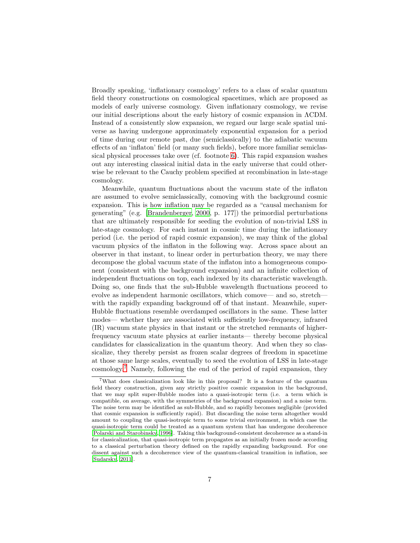Broadly speaking, 'inflationary cosmology' refers to a class of scalar quantum field theory constructions on cosmological spacetimes, which are proposed as models of early universe cosmology. Given inflationary cosmology, we revise our initial descriptions about the early history of cosmic expansion in ΛCDM. Instead of a consistently slow expansion, we regard our large scale spatial universe as having undergone approximately exponential expansion for a period of time during our remote past, due (semiclassically) to the adiabatic vacuum effects of an 'inflaton' field (or many such fields), before more familiar semiclassical physical processes take over (cf. footnote [6\)](#page-5-0). This rapid expansion washes out any interesting classical initial data in the early universe that could otherwise be relevant to the Cauchy problem specified at recombination in late-stage cosmology.

Meanwhile, quantum fluctuations about the vacuum state of the inflaton are assumed to evolve semiclassically, comoving with the background cosmic expansion. This is how inflation may be regarded as a "causal mechanism for generating" (e.g. [\[Brandenberger, 2000,](#page-20-5) p. 177]) the primordial perturbations that are ultimately responsible for seeding the evolution of non-trivial LSS in late-stage cosmology. For each instant in cosmic time during the inflationary period (i.e. the period of rapid cosmic expansion), we may think of the global vacuum physics of the inflaton in the following way. Across space about an observer in that instant, to linear order in perturbation theory, we may there decompose the global vacuum state of the inflaton into a homogeneous component (consistent with the background expansion) and an infinite collection of independent fluctuations on top, each indexed by its characteristic wavelength. Doing so, one finds that the sub-Hubble wavelength fluctuations proceed to evolve as independent harmonic oscillators, which comove— and so, stretch with the rapidly expanding background off of that instant. Meanwhile, super-Hubble fluctuations resemble overdamped oscillators in the same. These latter modes— whether they are associated with sufficiently low-frequency, infrared (IR) vacuum state physics in that instant or the stretched remnants of higherfrequency vacuum state physics at earlier instants— thereby become physical candidates for classicalization in the quantum theory. And when they so classicalize, they thereby persist as frozen scalar degrees of freedom in spacetime at those same large scales, eventually to seed the evolution of LSS in late-stage cosmology.[7](#page-6-0) Namely, following the end of the period of rapid expansion, they

<span id="page-6-0"></span><sup>7</sup>What does classicalization look like in this proposal? It is a feature of the quantum field theory construction, given any strictly positive cosmic expansion in the background, that we may split super-Hubble modes into a quasi-isotropic term (i.e. a term which is compatible, on average, with the symmetries of the background expansion) and a noise term. The noise term may be identified as sub-Hubble, and so rapidly becomes negligible (provided that cosmic expansion is sufficiently rapid). But discarding the noise term altogether would amount to coupling the quasi-isotropic term to some trivial environment, in which case the quasi-isotropic term could be treated as a quantum system that has undergone decoherence [\[Polarski and Starobinsky](#page-22-4), [1996](#page-22-4)]. Taking this background-consistent decoherence as a stand-in for classicalization, that quasi-isotropic term propagates as an initially frozen mode according to a classical perturbation theory defined on the rapidly expanding background. For one dissent against such a decoherence view of the quantum-classical transition in inflation, see [\[Sudarsky](#page-22-5), [2011](#page-22-5)].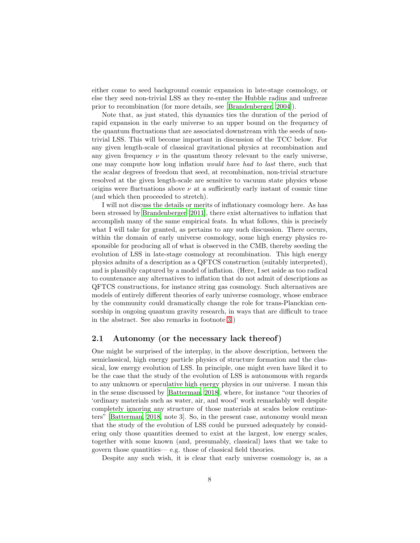either come to seed background cosmic expansion in late-stage cosmology, or else they seed non-trivial LSS as they re-enter the Hubble radius and unfreeze prior to recombination (for more details, see [\[Brandenberger, 2004\]](#page-21-4)).

Note that, as just stated, this dynamics ties the duration of the period of rapid expansion in the early universe to an upper bound on the frequency of the quantum fluctuations that are associated downstream with the seeds of nontrivial LSS. This will become important in discussion of the TCC below. For any given length-scale of classical gravitational physics at recombination and any given frequency  $\nu$  in the quantum theory relevant to the early universe, one may compute how long inflation would have had to last there, such that the scalar degrees of freedom that seed, at recombination, non-trivial structure resolved at the given length-scale are sensitive to vacuum state physics whose origins were fluctuations above  $\nu$  at a sufficiently early instant of cosmic time (and which then proceeded to stretch).

I will not discuss the details or merits of inflationary cosmology here. As has been stressed by [Brandenberger \[2011\]](#page-21-5), there exist alternatives to inflation that accomplish many of the same empirical feats. In what follows, this is precisely what I will take for granted, as pertains to any such discussion. There occurs, within the domain of early universe cosmology, some high energy physics responsible for producing all of what is observed in the CMB, thereby seeding the evolution of LSS in late-stage cosmology at recombination. This high energy physics admits of a description as a QFTCS construction (suitably interpreted), and is plausibly captured by a model of inflation. (Here, I set aside as too radical to countenance any alternatives to inflation that do not admit of descriptions as QFTCS constructions, for instance string gas cosmology. Such alternatives are models of entirely different theories of early universe cosmology, whose embrace by the community could dramatically change the role for trans-Planckian censorship in ongoing quantum gravity research, in ways that are difficult to trace in the abstract. See also remarks in footnote [3.](#page-2-1))

#### 2.1 Autonomy (or the necessary lack thereof)

One might be surprised of the interplay, in the above description, between the semiclassical, high energy particle physics of structure formation and the classical, low energy evolution of LSS. In principle, one might even have liked it to be the case that the study of the evolution of LSS is autonomous with regards to any unknown or speculative high energy physics in our universe. I mean this in the sense discussed by [\[Batterman, 2018\]](#page-20-6), where, for instance "our theories of 'ordinary materials such as water, air, and wood' work remarkably well despite completely ignoring any structure of those materials at scales below centimeters" [\[Batterman, 2018,](#page-20-6) note 3]. So, in the present case, autonomy would mean that the study of the evolution of LSS could be pursued adequately by considering only those quantities deemed to exist at the largest, low energy scales, together with some known (and, presumably, classical) laws that we take to govern those quantities— e.g. those of classical field theories.

Despite any such wish, it is clear that early universe cosmology is, as a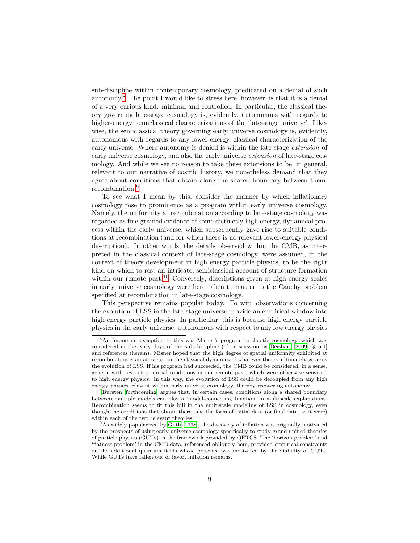sub-discipline within contemporary cosmology, predicated on a denial of such autonomy.[8](#page-8-0) The point I would like to stress here, however, is that it is a denial of a very curious kind: minimal and controlled. In particular, the classical theory governing late-stage cosmology is, evidently, autonomous with regards to higher-energy, semiclassical characterizations of the 'late-stage universe'. Likewise, the semiclassical theory governing early universe cosmology is, evidently, autonomous with regards to any lower-energy, classical characterization of the early universe. Where autonomy is denied is within the late-stage *extension* of early universe cosmology, and also the early universe extension of late-stage cosmology. And while we see no reason to take these extensions to be, in general, relevant to our narrative of cosmic history, we nonetheless demand that they agree about conditions that obtain along the shared boundary between them: recombination.<sup>[9](#page-8-1)</sup>

To see what I mean by this, consider the manner by which inflationary cosmology rose to prominence as a program within early universe cosmology. Namely, the uniformity at recombination according to late-stage cosmology was regarded as fine-grained evidence of some distinctly high energy, dynamical process within the early universe, which subsequently gave rise to suitable conditions at recombination (and for which there is no relevant lower-energy physical description). In other words, the details observed within the CMB, as interpreted in the classical context of late-stage cosmology, were assumed, in the context of theory development in high energy particle physics, to be the right kind on which to rest an intricate, semiclassical account of structure formation within our remote past.<sup>[10](#page-8-2)</sup> Conversely, descriptions given at high energy scales in early universe cosmology were here taken to matter to the Cauchy problem specified at recombination in late-stage cosmology.

This perspective remains popular today. To wit: observations concerning the evolution of LSS in the late-stage universe provide an empirical window into high energy particle physics. In particular, this is because high energy particle physics in the early universe, autonomous with respect to any low energy physics

<span id="page-8-0"></span><sup>8</sup>An important exception to this was Misner's program in chaotic cosmology, which was considered in the early days of the sub-discipline (cf. discussion by [Beisbart \[2009,](#page-20-7) §5.5.1] and references therein). Misner hoped that the high degree of spatial uniformity exhibited at recombination is an attractor in the classical dynamics of whatever theory ultimately governs the evolution of LSS. If his program had succeeded, the CMB could be considered, in a sense, generic with respect to initial conditions in our remote past, which were otherwise sensitive to high energy physics. In this way, the evolution of LSS could be decoupled from any high energy physics relevant within early universe cosmology, thereby recovering autonomy.

<span id="page-8-1"></span><sup>&</sup>lt;sup>9</sup>[Bursten \[forthcoming](#page-21-6)] argues that, in certain cases, conditions along a shared boundary between multiple models can play a 'model-connecting function' in multiscale explanations. Recombination seems to fit this bill in the multiscale modeling of LSS in cosmology, even though the conditions that obtain there take the form of initial data (or final data, as it were) within each of the two relevant theories.

<span id="page-8-2"></span><sup>10</sup>As widely popularized by [Guth \[1998](#page-21-7)], the discovery of inflation was originally motivated by the prospects of using early universe cosmology specifically to study grand unified theories of particle physics (GUTs) in the framework provided by QFTCS. The 'horizon problem' and 'flatness problem' in the CMB data, referenced obliquely here, provided empirical constraints on the additional quantum fields whose presence was motivated by the viability of GUTs. While GUTs have fallen out of favor, inflation remains.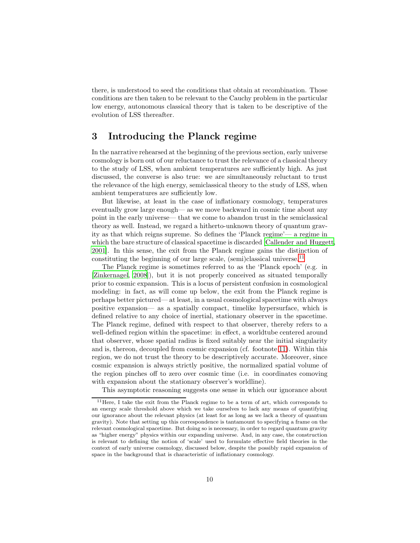there, is understood to seed the conditions that obtain at recombination. Those conditions are then taken to be relevant to the Cauchy problem in the particular low energy, autonomous classical theory that is taken to be descriptive of the evolution of LSS thereafter.

# 3 Introducing the Planck regime

In the narrative rehearsed at the beginning of the previous section, early universe cosmology is born out of our reluctance to trust the relevance of a classical theory to the study of LSS, when ambient temperatures are sufficiently high. As just discussed, the converse is also true: we are simultaneously reluctant to trust the relevance of the high energy, semiclassical theory to the study of LSS, when ambient temperatures are sufficiently low.

But likewise, at least in the case of inflationary cosmology, temperatures eventually grow large enough— as we move backward in cosmic time about any point in the early universe— that we come to abandon trust in the semiclassical theory as well. Instead, we regard a hitherto-unknown theory of quantum gravity as that which reigns supreme. So defines the 'Planck regime'— a regime in which the bare structure of classical spacetime is discarded [\[Callender and Huggett,](#page-21-8) [2001\]](#page-21-8). In this sense, the exit from the Planck regime gains the distinction of constituting the beginning of our large scale, (semi)classical universe.<sup>[11](#page-9-0)</sup>

The Planck regime is sometimes referred to as the 'Planck epoch' (e.g. in [\[Zinkernagel, 2008\]](#page-22-6)), but it is not properly conceived as situated temporally prior to cosmic expansion. This is a locus of persistent confusion in cosmological modeling: in fact, as will come up below, the exit from the Planck regime is perhaps better pictured— at least, in a usual cosmological spacetime with always positive expansion— as a spatially compact, timelike hypersurface, which is defined relative to any choice of inertial, stationary observer in the spacetime. The Planck regime, defined with respect to that observer, thereby refers to a well-defined region within the spacetime: in effect, a worldtube centered around that observer, whose spatial radius is fixed suitably near the initial singularity and is, thereon, decoupled from cosmic expansion (cf. footnote [11\)](#page-9-0). Within this region, we do not trust the theory to be descriptively accurate. Moreover, since cosmic expansion is always strictly positive, the normalized spatial volume of the region pinches off to zero over cosmic time (i.e. in coordinates comoving with expansion about the stationary observer's worldline).

This asymptotic reasoning suggests one sense in which our ignorance about

<span id="page-9-0"></span><sup>&</sup>lt;sup>11</sup>Here, I take the exit from the Planck regime to be a term of art, which corresponds to an energy scale threshold above which we take ourselves to lack any means of quantifying our ignorance about the relevant physics (at least for as long as we lack a theory of quantum gravity). Note that setting up this correspondence is tantamount to specifying a frame on the relevant cosmological spacetime. But doing so is necessary, in order to regard quantum gravity as "higher energy" physics within our expanding universe. And, in any case, the construction is relevant to defining the notion of 'scale' used to formulate effective field theories in the context of early universe cosmology, discussed below, despite the possibly rapid expansion of space in the background that is characteristic of inflationary cosmology.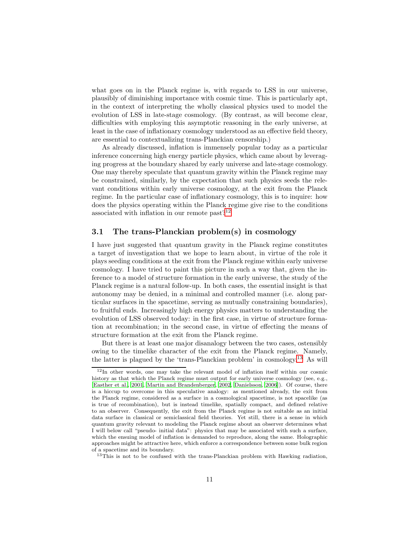what goes on in the Planck regime is, with regards to LSS in our universe, plausibly of diminishing importance with cosmic time. This is particularly apt, in the context of interpreting the wholly classical physics used to model the evolution of LSS in late-stage cosmology. (By contrast, as will become clear, difficulties with employing this asymptotic reasoning in the early universe, at least in the case of inflationary cosmology understood as an effective field theory, are essential to contextualizing trans-Planckian censorship.)

As already discussed, inflation is immensely popular today as a particular inference concerning high energy particle physics, which came about by leveraging progress at the boundary shared by early universe and late-stage cosmology. One may thereby speculate that quantum gravity within the Planck regime may be constrained, similarly, by the expectation that such physics seeds the relevant conditions within early universe cosmology, at the exit from the Planck regime. In the particular case of inflationary cosmology, this is to inquire: how does the physics operating within the Planck regime give rise to the conditions associated with inflation in our remote past? $12$ 

#### 3.1 The trans-Planckian problem(s) in cosmology

I have just suggested that quantum gravity in the Planck regime constitutes a target of investigation that we hope to learn about, in virtue of the role it plays seeding conditions at the exit from the Planck regime within early universe cosmology. I have tried to paint this picture in such a way that, given the inference to a model of structure formation in the early universe, the study of the Planck regime is a natural follow-up. In both cases, the essential insight is that autonomy may be denied, in a minimal and controlled manner (i.e. along particular surfaces in the spacetime, serving as mutually constraining boundaries), to fruitful ends. Increasingly high energy physics matters to understanding the evolution of LSS observed today: in the first case, in virtue of structure formation at recombination; in the second case, in virtue of effecting the means of structure formation at the exit from the Planck regime.

But there is at least one major disanalogy between the two cases, ostensibly owing to the timelike character of the exit from the Planck regime. Namely, the latter is plagued by the 'trans-Planckian problem' in cosmology.[13](#page-10-1) As will

<span id="page-10-0"></span><sup>12</sup>In other words, one may take the relevant model of inflation itself within our cosmic history as that which the Planck regime must output for early universe cosmology (see, e.g., [\[Easther et al.](#page-21-9), [2001,](#page-21-9) [Martin and Brandenberger, 2002](#page-22-7), [Danielsson](#page-21-10), [2006](#page-21-10)]). Of course, there is a hiccup to overcome in this speculative analogy: as mentioned already, the exit from the Planck regime, considered as a surface in a cosmological spacetime, is not spacelike (as is true of recombination), but is instead timelike, spatially compact, and defined relative to an observer. Consequently, the exit from the Planck regime is not suitable as an initial data surface in classical or semiclassical field theories. Yet still, there is a sense in which quantum gravity relevant to modeling the Planck regime about an observer determines what I will below call "pseudo- initial data": physics that may be associated with such a surface, which the ensuing model of inflation is demanded to reproduce, along the same. Holographic approaches might be attractive here, which enforce a correspondence between some bulk region of a spacetime and its boundary.

<span id="page-10-1"></span><sup>&</sup>lt;sup>13</sup>This is not to be confused with the trans-Planckian problem with Hawking radiation,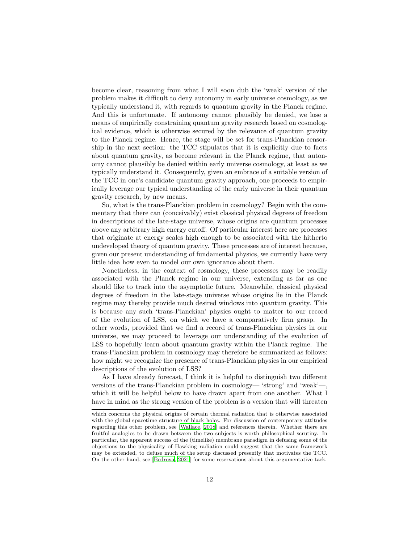become clear, reasoning from what I will soon dub the 'weak' version of the problem makes it difficult to deny autonomy in early universe cosmology, as we typically understand it, with regards to quantum gravity in the Planck regime. And this is unfortunate. If autonomy cannot plausibly be denied, we lose a means of empirically constraining quantum gravity research based on cosmological evidence, which is otherwise secured by the relevance of quantum gravity to the Planck regime. Hence, the stage will be set for trans-Planckian censorship in the next section: the TCC stipulates that it is explicitly due to facts about quantum gravity, as become relevant in the Planck regime, that autonomy cannot plausibly be denied within early universe cosmology, at least as we typically understand it. Consequently, given an embrace of a suitable version of the TCC in one's candidate quantum gravity approach, one proceeds to empirically leverage our typical understanding of the early universe in their quantum gravity research, by new means.

So, what is the trans-Planckian problem in cosmology? Begin with the commentary that there can (conceivably) exist classical physical degrees of freedom in descriptions of the late-stage universe, whose origins are quantum processes above any arbitrary high energy cutoff. Of particular interest here are processes that originate at energy scales high enough to be associated with the hitherto undeveloped theory of quantum gravity. These processes are of interest because, given our present understanding of fundamental physics, we currently have very little idea how even to model our own ignorance about them.

Nonetheless, in the context of cosmology, these processes may be readily associated with the Planck regime in our universe, extending as far as one should like to track into the asymptotic future. Meanwhile, classical physical degrees of freedom in the late-stage universe whose origins lie in the Planck regime may thereby provide much desired windows into quantum gravity. This is because any such 'trans-Planckian' physics ought to matter to our record of the evolution of LSS, on which we have a comparatively firm grasp. In other words, provided that we find a record of trans-Planckian physics in our universe, we may proceed to leverage our understanding of the evolution of LSS to hopefully learn about quantum gravity within the Planck regime. The trans-Planckian problem in cosmology may therefore be summarized as follows: how might we recognize the presence of trans-Planckian physics in our empirical descriptions of the evolution of LSS?

As I have already forecast, I think it is helpful to distinguish two different versions of the trans-Planckian problem in cosmology— 'strong' and 'weak'—, which it will be helpful below to have drawn apart from one another. What I have in mind as the strong version of the problem is a version that will threaten

which concerns the physical origins of certain thermal radiation that is otherwise associated with the global spacetime structure of black holes. For discussion of contemporary attitudes regarding this other problem, see [\[Wallace, 2018](#page-22-8)] and references therein. Whether there are fruitful analogies to be drawn between the two subjects is worth philosophical scrutiny. In particular, the apparent success of the (timelike) membrane paradigm in defusing some of the objections to the physicality of Hawking radiation could suggest that the same framework may be extended, to defuse much of the setup discussed presently that motivates the TCC. On the other hand, see [\[Bedroya](#page-20-2), [2021](#page-20-2)] for some reservations about this argumentative tack.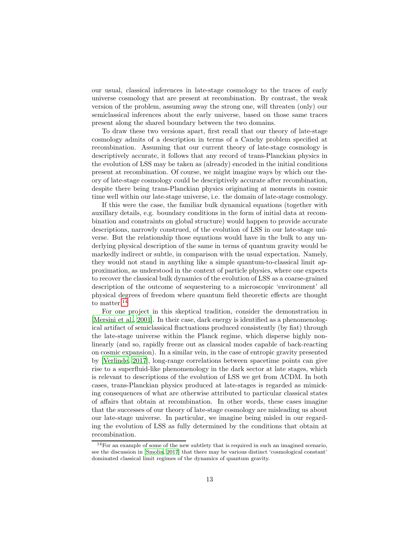our usual, classical inferences in late-stage cosmology to the traces of early universe cosmology that are present at recombination. By contrast, the weak version of the problem, assuming away the strong one, will threaten (only) our semiclassical inferences about the early universe, based on those same traces present along the shared boundary between the two domains.

To draw these two versions apart, first recall that our theory of late-stage cosmology admits of a description in terms of a Cauchy problem specified at recombination. Assuming that our current theory of late-stage cosmology is descriptively accurate, it follows that any record of trans-Planckian physics in the evolution of LSS may be taken as (already) encoded in the initial conditions present at recombination. Of course, we might imagine ways by which our theory of late-stage cosmology could be descriptively accurate after recombination, despite there being trans-Planckian physics originating at moments in cosmic time well within our late-stage universe, i.e. the domain of late-stage cosmology.

If this were the case, the familiar bulk dynamical equations (together with auxillary details, e.g. boundary conditions in the form of initial data at recombination and constraints on global structure) would happen to provide accurate descriptions, narrowly construed, of the evolution of LSS in our late-stage universe. But the relationship those equations would have in the bulk to any underlying physical description of the same in terms of quantum gravity would be markedly indirect or subtle, in comparison with the usual expectation. Namely, they would not stand in anything like a simple quantum-to-classical limit approximation, as understood in the context of particle physics, where one expects to recover the classical bulk dynamics of the evolution of LSS as a coarse-grained description of the outcome of sequestering to a microscopic 'environment' all physical degrees of freedom where quantum field theoretic effects are thought to matter.<sup>[14](#page-12-0)</sup>

For one project in this skeptical tradition, consider the demonstration in [\[Mersini et al., 2001\]](#page-22-9). In their case, dark energy is identified as a phenomenological artifact of semiclassical fluctuations produced consistently (by fiat) through the late-stage universe within the Planck regime, which disperse highly nonlinearly (and so, rapidly freeze out as classical modes capable of back-reacting on cosmic expansion). In a similar vein, in the case of entropic gravity presented by [\[Verlinde, 2017](#page-22-10)], long-range correlations between spacetime points can give rise to a superfluid-like phenomenology in the dark sector at late stages, which is relevant to descriptions of the evolution of LSS we get from ΛCDM. In both cases, trans-Planckian physics produced at late-stages is regarded as mimicking consequences of what are otherwise attributed to particular classical states of affairs that obtain at recombination. In other words, these cases imagine that the successes of our theory of late-stage cosmology are misleading us about our late-stage universe. In particular, we imagine being misled in our regarding the evolution of LSS as fully determined by the conditions that obtain at recombination.

<span id="page-12-0"></span> $14$  For an example of some of the new subtlety that is required in such an imagined scenario, see the discussion in [\[Smolin](#page-22-11), [2017](#page-22-11)] that there may be various distinct 'cosmological constant' dominated classical limit regimes of the dynamics of quantum gravity.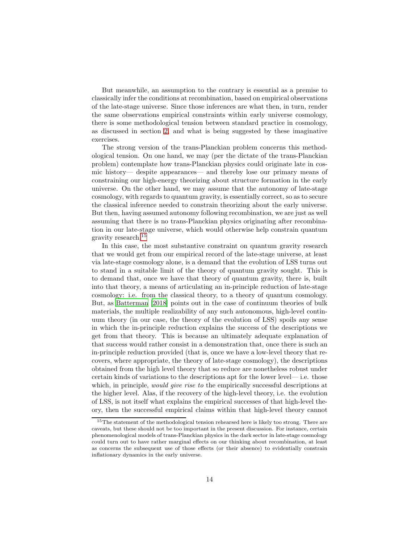But meanwhile, an assumption to the contrary is essential as a premise to classically infer the conditions at recombination, based on empirical observations of the late-stage universe. Since those inferences are what then, in turn, render the same observations empirical constraints within early universe cosmology, there is some methodological tension between standard practice in cosmology, as discussed in section [2,](#page-4-2) and what is being suggested by these imaginative exercises.

The strong version of the trans-Planckian problem concerns this methodological tension. On one hand, we may (per the dictate of the trans-Planckian problem) contemplate how trans-Planckian physics could originate late in cosmic history— despite appearances— and thereby lose our primary means of constraining our high-energy theorizing about structure formation in the early universe. On the other hand, we may assume that the autonomy of late-stage cosmology, with regards to quantum gravity, is essentially correct, so as to secure the classical inference needed to constrain theorizing about the early universe. But then, having assumed autonomy following recombination, we are just as well assuming that there is no trans-Planckian physics originating after recombination in our late-stage universe, which would otherwise help constrain quantum gravity research.[15](#page-13-0)

In this case, the most substantive constraint on quantum gravity research that we would get from our empirical record of the late-stage universe, at least via late-stage cosmology alone, is a demand that the evolution of LSS turns out to stand in a suitable limit of the theory of quantum gravity sought. This is to demand that, once we have that theory of quantum gravity, there is, built into that theory, a means of articulating an in-principle reduction of late-stage cosmology: i.e. from the classical theory, to a theory of quantum cosmology. But, as [Batterman \[2018\]](#page-20-6) points out in the case of continuum theories of bulk materials, the multiple realizability of any such autonomous, high-level continuum theory (in our case, the theory of the evolution of LSS) spoils any sense in which the in-principle reduction explains the success of the descriptions we get from that theory. This is because an ultimately adequate explanation of that success would rather consist in a demonstration that, once there is such an in-principle reduction provided (that is, once we have a low-level theory that recovers, where appropriate, the theory of late-stage cosmology), the descriptions obtained from the high level theory that so reduce are nonetheless robust under certain kinds of variations to the descriptions apt for the lower level— i.e. those which, in principle, *would give rise to* the empirically successful descriptions at the higher level. Alas, if the recovery of the high-level theory, i.e. the evolution of LSS, is not itself what explains the empirical successes of that high-level theory, then the successful empirical claims within that high-level theory cannot

<span id="page-13-0"></span><sup>&</sup>lt;sup>15</sup>The statement of the methodological tension rehearsed here is likely too strong. There are caveats, but these should not be too important in the present discussion. For instance, certain phenomenological models of trans-Planckian physics in the dark sector in late-stage cosmology could turn out to have rather marginal effects on our thinking about recombination, at least as concerns the subsequent use of those effects (or their absence) to evidentially constrain inflationary dynamics in the early universe.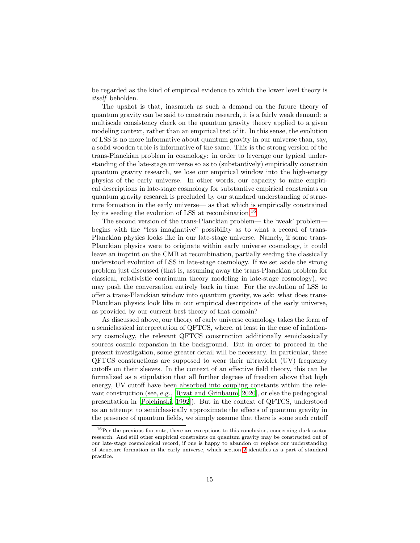be regarded as the kind of empirical evidence to which the lower level theory is itself beholden.

The upshot is that, inasmuch as such a demand on the future theory of quantum gravity can be said to constrain research, it is a fairly weak demand: a multiscale consistency check on the quantum gravity theory applied to a given modeling context, rather than an empirical test of it. In this sense, the evolution of LSS is no more informative about quantum gravity in our universe than, say, a solid wooden table is informative of the same. This is the strong version of the trans-Planckian problem in cosmology: in order to leverage our typical understanding of the late-stage universe so as to (substantively) empirically constrain quantum gravity research, we lose our empirical window into the high-energy physics of the early universe. In other words, our capacity to mine empirical descriptions in late-stage cosmology for substantive empirical constraints on quantum gravity research is precluded by our standard understanding of structure formation in the early universe— as that which is empirically constrained by its seeding the evolution of LSS at recombination.[16](#page-14-0)

The second version of the trans-Planckian problem— the 'weak' problem begins with the "less imaginative" possibility as to what a record of trans-Planckian physics looks like in our late-stage universe. Namely, if some trans-Planckian physics were to originate within early universe cosmology, it could leave an imprint on the CMB at recombination, partially seeding the classically understood evolution of LSS in late-stage cosmology. If we set aside the strong problem just discussed (that is, assuming away the trans-Planckian problem for classical, relativistic continuum theory modeling in late-stage cosmology), we may push the conversation entirely back in time. For the evolution of LSS to offer a trans-Planckian window into quantum gravity, we ask: what does trans-Planckian physics look like in our empirical descriptions of the early universe, as provided by our current best theory of that domain?

As discussed above, our theory of early universe cosmology takes the form of a semiclassical interpretation of QFTCS, where, at least in the case of inflationary cosmology, the relevant QFTCS construction additionally semiclassically sources cosmic expansion in the background. But in order to proceed in the present investigation, some greater detail will be necessary. In particular, these QFTCS constructions are supposed to wear their ultraviolet (UV) frequency cutoffs on their sleeves. In the context of an effective field theory, this can be formalized as a stipulation that all further degrees of freedom above that high energy, UV cutoff have been absorbed into coupling constants within the relevant construction (see, e.g., [\[Rivat and Grinbaum](#page-22-12), [2020\]](#page-22-12), or else the pedagogical presentation in [\[Polchinski, 1992](#page-22-13)]). But in the context of QFTCS, understood as an attempt to semiclassically approximate the effects of quantum gravity in the presence of quantum fields, we simply assume that there is some such cutoff

<span id="page-14-0"></span> $^{16}\mathrm{Per}$  the previous footnote, there are exceptions to this conclusion, concerning dark sector research. And still other empirical constraints on quantum gravity may be constructed out of our late-stage cosmological record, if one is happy to abandon or replace our understanding of structure formation in the early universe, which section [2](#page-4-2) identifies as a part of standard practice.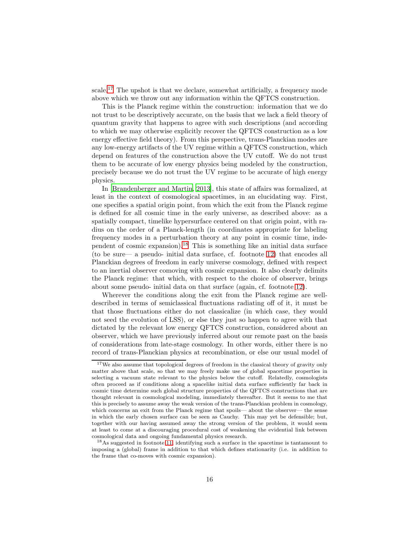scale.[17](#page-15-0) The upshot is that we declare, somewhat artificially, a frequency mode above which we throw out any information within the QFTCS construction.

This is the Planck regime within the construction: information that we do not trust to be descriptively accurate, on the basis that we lack a field theory of quantum gravity that happens to agree with such descriptions (and according to which we may otherwise explicitly recover the QFTCS construction as a low energy effective field theory). From this perspective, trans-Planckian modes are any low-energy artifacts of the UV regime within a QFTCS construction, which depend on features of the construction above the UV cutoff. We do not trust them to be accurate of low energy physics being modeled by the construction, precisely because we do not trust the UV regime to be accurate of high energy physics.

In [\[Brandenberger and Martin, 2013\]](#page-21-11), this state of affairs was formalized, at least in the context of cosmological spacetimes, in an elucidating way. First, one specifies a spatial origin point, from which the exit from the Planck regime is defined for all cosmic time in the early universe, as described above: as a spatially compact, timelike hypersurface centered on that origin point, with radius on the order of a Planck-length (in coordinates appropriate for labeling frequency modes in a perturbation theory at any point in cosmic time, independent of cosmic expansion).[18](#page-15-1) This is something like an initial data surface (to be sure— a pseudo- initial data surface, cf. footnote [12\)](#page-10-0) that encodes all Planckian degrees of freedom in early universe cosmology, defined with respect to an inertial observer comoving with cosmic expansion. It also clearly delimits the Planck regime: that which, with respect to the choice of observer, brings about some pseudo- initial data on that surface (again, cf. footnote [12\)](#page-10-0).

Wherever the conditions along the exit from the Planck regime are welldescribed in terms of semiclassical fluctuations radiating off of it, it must be that those fluctuations either do not classicalize (in which case, they would not seed the evolution of LSS), or else they just so happen to agree with that dictated by the relevant low energy QFTCS construction, considered about an observer, which we have previously inferred about our remote past on the basis of considerations from late-stage cosmology. In other words, either there is no record of trans-Planckian physics at recombination, or else our usual model of

<span id="page-15-0"></span><sup>17</sup>We also assume that topological degrees of freedom in the classical theory of gravity only matter above that scale, so that we may freely make use of global spacetime properties in selecting a vacuum state relevant to the physics below the cutoff. Relatedly, cosmologists often proceed as if conditions along a spacelike initial data surface sufficiently far back in cosmic time determine such global structure properties of the QFTCS constructions that are thought relevant in cosmological modeling, immediately thereafter. But it seems to me that this is precisely to assume away the weak version of the trans-Planckian problem in cosmology, which concerns an exit from the Planck regime that spoils— about the observer— the sense in which the early chosen surface can be seen as Cauchy. This may yet be defensible; but, together with our having assumed away the strong version of the problem, it would seem at least to come at a discouraging procedural cost of weakening the evidential link between cosmological data and ongoing fundamental physics research.

<span id="page-15-1"></span><sup>&</sup>lt;sup>18</sup>As suggested in footnote [11,](#page-9-0) identifying such a surface in the spacetime is tantamount to imposing a (global) frame in addition to that which defines stationarity (i.e. in addition to the frame that co-moves with cosmic expansion).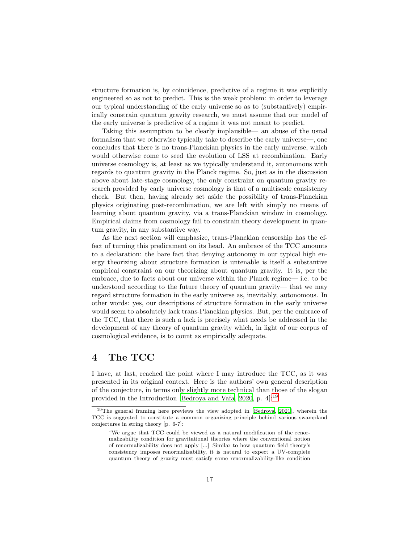structure formation is, by coincidence, predictive of a regime it was explicitly engineered so as not to predict. This is the weak problem: in order to leverage our typical understanding of the early universe so as to (substantively) empirically constrain quantum gravity research, we must assume that our model of the early universe is predictive of a regime it was not meant to predict.

Taking this assumption to be clearly implausible— an abuse of the usual formalism that we otherwise typically take to describe the early universe—, one concludes that there is no trans-Planckian physics in the early universe, which would otherwise come to seed the evolution of LSS at recombination. Early universe cosmology is, at least as we typically understand it, autonomous with regards to quantum gravity in the Planck regime. So, just as in the discussion above about late-stage cosmology, the only constraint on quantum gravity research provided by early universe cosmology is that of a multiscale consistency check. But then, having already set aside the possibility of trans-Planckian physics originating post-recombination, we are left with simply no means of learning about quantum gravity, via a trans-Planckian window in cosmology. Empirical claims from cosmology fail to constrain theory development in quantum gravity, in any substantive way.

As the next section will emphasize, trans-Planckian censorship has the effect of turning this predicament on its head. An embrace of the TCC amounts to a declaration: the bare fact that denying autonomy in our typical high energy theorizing about structure formation is untenable is itself a substantive empirical constraint on our theorizing about quantum gravity. It is, per the embrace, due to facts about our universe within the Planck regime— i.e. to be understood according to the future theory of quantum gravity— that we may regard structure formation in the early universe as, inevitably, autonomous. In other words: yes, our descriptions of structure formation in the early universe would seem to absolutely lack trans-Planckian physics. But, per the embrace of the TCC, that there is such a lack is precisely what needs be addressed in the development of any theory of quantum gravity which, in light of our corpus of cosmological evidence, is to count as empirically adequate.

# <span id="page-16-0"></span>4 The TCC

I have, at last, reached the point where I may introduce the TCC, as it was presented in its original context. Here is the authors' own general description of the conjecture, in terms only slightly more technical than those of the slogan provided in the Introduction [\[Bedroya and Vafa](#page-20-0), [2020](#page-20-0), p. 4]:[19](#page-16-1)

<span id="page-16-1"></span><sup>19</sup>The general framing here previews the view adopted in [\[Bedroya](#page-20-2), [2021\]](#page-20-2), wherein the TCC is suggested to constitute a common organizing principle behind various swampland conjectures in string theory [p. 6-7]:

<sup>&</sup>quot;We argue that TCC could be viewed as a natural modification of the renormalizability condition for gravitational theories where the conventional notion of renormalizability does not apply [...] Similar to how quantum field theory's consistency imposes renormalizability, it is natural to expect a UV-complete quantum theory of gravity must satisfy some renormalizability-like condition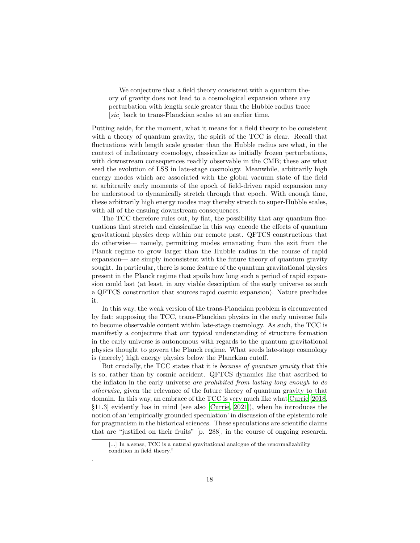We conjecture that a field theory consistent with a quantum theory of gravity does not lead to a cosmological expansion where any perturbation with length scale greater than the Hubble radius trace [sic] back to trans-Planckian scales at an earlier time.

Putting aside, for the moment, what it means for a field theory to be consistent with a theory of quantum gravity, the spirit of the TCC is clear. Recall that fluctuations with length scale greater than the Hubble radius are what, in the context of inflationary cosmology, classicalize as initially frozen perturbations, with downstream consequences readily observable in the CMB; these are what seed the evolution of LSS in late-stage cosmology. Meanwhile, arbitrarily high energy modes which are associated with the global vacuum state of the field at arbitrarily early moments of the epoch of field-driven rapid expansion may be understood to dynamically stretch through that epoch. With enough time, these arbitrarily high energy modes may thereby stretch to super-Hubble scales, with all of the ensuing downstream consequences.

The TCC therefore rules out, by fiat, the possibility that any quantum fluctuations that stretch and classicalize in this way encode the effects of quantum gravitational physics deep within our remote past. QFTCS constructions that do otherwise— namely, permitting modes emanating from the exit from the Planck regime to grow larger than the Hubble radius in the course of rapid expansion— are simply inconsistent with the future theory of quantum gravity sought. In particular, there is some feature of the quantum gravitational physics present in the Planck regime that spoils how long such a period of rapid expansion could last (at least, in any viable description of the early universe as such a QFTCS construction that sources rapid cosmic expansion). Nature precludes it.

In this way, the weak version of the trans-Planckian problem is circumvented by fiat: supposing the TCC, trans-Planckian physics in the early universe fails to become observable content within late-stage cosmology. As such, the TCC is manifestly a conjecture that our typical understanding of structure formation in the early universe is autonomous with regards to the quantum gravitational physics thought to govern the Planck regime. What seeds late-stage cosmology is (merely) high energy physics below the Planckian cutoff.

But crucially, the TCC states that it is because of quantum gravity that this is so, rather than by cosmic accident. QFTCS dynamics like that ascribed to the inflaton in the early universe are prohibited from lasting long enough to do otherwise, given the relevance of the future theory of quantum gravity to that domain. In this way, an embrace of the TCC is very much like what [Currie \[2018,](#page-21-12) §11.3] evidently has in mind (see also [\[Currie](#page-21-13), [2021\]](#page-21-13)), when he introduces the notion of an 'empirically grounded speculation' in discussion of the epistemic role for pragmatism in the historical sciences. These speculations are scientific claims that are "justified on their fruits" [p. 288], in the course of ongoing research.

.

<sup>[...]</sup> In a sense, TCC is a natural gravitational analogue of the renormalizability condition in field theory."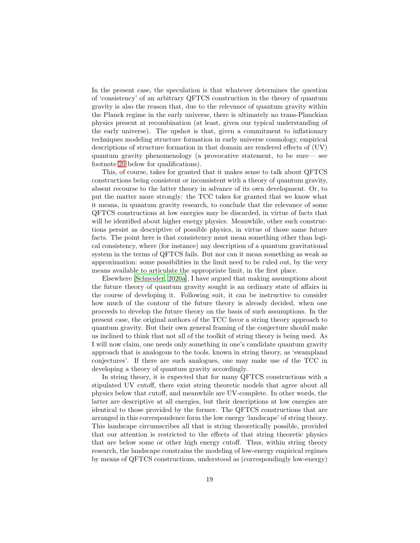In the present case, the speculation is that whatever determines the question of 'consistency' of an arbitrary QFTCS construction in the theory of quantum gravity is also the reason that, due to the relevance of quantum gravity within the Planck regime in the early universe, there is ultimately no trans-Planckian physics present at recombination (at least, given our typical understanding of the early universe). The upshot is that, given a commitment to inflationary techniques modeling structure formation in early universe cosmology, empirical descriptions of structure formation in that domain are rendered effects of (UV) quantum gravity phenomenology (a provocative statement, to be sure— see footnote [20](#page-19-0) below for qualifications).

This, of course, takes for granted that it makes sense to talk about QFTCS constructions being consistent or inconsistent with a theory of quantum gravity, absent recourse to the latter theory in advance of its own development. Or, to put the matter more strongly: the TCC takes for granted that we know what it means, in quantum gravity research, to conclude that the relevance of some QFTCS constructions at low energies may be discarded, in virtue of facts that will be identified about higher energy physics. Meanwhile, other such constructions persist as descriptive of possible physics, in virtue of those same future facts. The point here is that consistency must mean something other than logical consistency, where (for instance) any description of a quantum gravitational system in the terms of QFTCS fails. But nor can it mean something as weak as approximation: some possibilities in the limit need to be ruled out, by the very means available to articulate the appropriate limit, in the first place.

Elsewhere [\[Schneider, 2020a](#page-22-1)], I have argued that making assumptions about the future theory of quantum gravity sought is an ordinary state of affairs in the course of developing it. Following suit, it can be instructive to consider how much of the contour of the future theory is already decided, when one proceeds to develop the future theory on the basis of such assumptions. In the present case, the original authors of the TCC favor a string theory approach to quantum gravity. But their own general framing of the conjecture should make us inclined to think that not all of the toolkit of string theory is being used. As I will now claim, one needs only something in one's candidate quantum gravity approach that is analogous to the tools, known in string theory, as 'swampland conjectures'. If there are such analogues, one may make use of the TCC in developing a theory of quantum gravity accordingly.

In string theory, it is expected that for many QFTCS constructions with a stipulated UV cutoff, there exist string theoretic models that agree about all physics below that cutoff, and meanwhile are UV-complete. In other words, the latter are descriptive at all energies, but their descriptions at low energies are identical to those provided by the former. The QFTCS constructions that are arranged in this correspondence form the low energy 'landscape' of string theory. This landscape circumscribes all that is string theoretically possible, provided that our attention is restricted to the effects of that string theoretic physics that are below some or other high energy cutoff. Thus, within string theory research, the landscape constrains the modeling of low-energy empirical regimes by means of QFTCS constructions, understood as (correspondingly low-energy)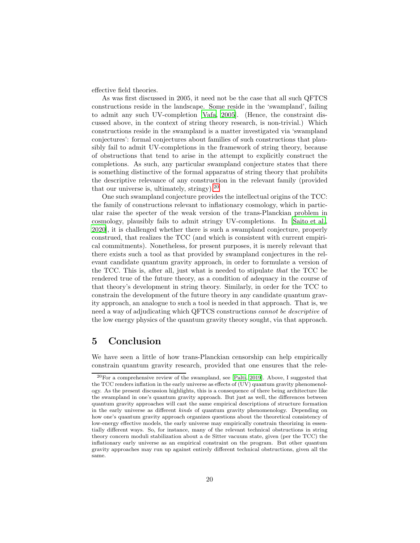effective field theories.

As was first discussed in 2005, it need not be the case that all such QFTCS constructions reside in the landscape. Some reside in the 'swampland', failing to admit any such UV-completion [\[Vafa, 2005\]](#page-22-14). (Hence, the constraint discussed above, in the context of string theory research, is non-trivial.) Which constructions reside in the swampland is a matter investigated via 'swampland conjectures': formal conjectures about families of such constructions that plausibly fail to admit UV-completions in the framework of string theory, because of obstructions that tend to arise in the attempt to explicitly construct the completions. As such, any particular swampland conjecture states that there is something distinctive of the formal apparatus of string theory that prohibits the descriptive relevance of any construction in the relevant family (provided that our universe is, ultimately, stringy).[20](#page-19-0)

One such swampland conjecture provides the intellectual origins of the TCC: the family of constructions relevant to inflationary cosmology, which in particular raise the specter of the weak version of the trans-Planckian problem in cosmology, plausibly fails to admit stringy UV-completions. In [\[Saito et al.,](#page-22-0) [2020\]](#page-22-0), it is challenged whether there is such a swampland conjecture, properly construed, that realizes the TCC (and which is consistent with current empirical commitments). Nonetheless, for present purposes, it is merely relevant that there exists such a tool as that provided by swampland conjectures in the relevant candidate quantum gravity approach, in order to formulate a version of the TCC. This is, after all, just what is needed to stipulate that the TCC be rendered true of the future theory, as a condition of adequacy in the course of that theory's development in string theory. Similarly, in order for the TCC to constrain the development of the future theory in any candidate quantum gravity approach, an analogue to such a tool is needed in that approach. That is, we need a way of adjudicating which QFTCS constructions cannot be descriptive of the low energy physics of the quantum gravity theory sought, via that approach.

### 5 Conclusion

We have seen a little of how trans-Planckian censorship can help empirically constrain quantum gravity research, provided that one ensures that the rele-

<span id="page-19-0"></span> $20$ For a comprehensive review of the swampland, see [\[Palti, 2019\]](#page-22-15). Above, I suggested that the TCC renders inflation in the early universe as effects of (UV) quantum gravity phenomenology. As the present discussion highlights, this is a consequence of there being architecture like the swampland in one's quantum gravity approach. But just as well, the differences between quantum gravity approaches will cast the same empirical descriptions of structure formation in the early universe as different kinds of quantum gravity phenomenology. Depending on how one's quantum gravity approach organizes questions about the theoretical consistency of low-energy effective models, the early universe may empirically constrain theorizing in essentially different ways. So, for instance, many of the relevant technical obstructions in string theory concern moduli stabilization about a de Sitter vacuum state, given (per the TCC) the inflationary early universe as an empirical constraint on the program. But other quantum gravity approaches may run up against entirely different technical obstructions, given all the same.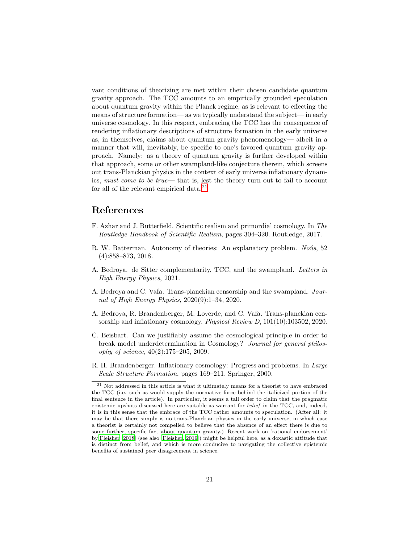vant conditions of theorizing are met within their chosen candidate quantum gravity approach. The TCC amounts to an empirically grounded speculation about quantum gravity within the Planck regime, as is relevant to effecting the means of structure formation— as we typically understand the subject— in early universe cosmology. In this respect, embracing the TCC has the consequence of rendering inflationary descriptions of structure formation in the early universe as, in themselves, claims about quantum gravity phenomenology— albeit in a manner that will, inevitably, be specific to one's favored quantum gravity approach. Namely: as a theory of quantum gravity is further developed within that approach, some or other swampland-like conjecture therein, which screens out trans-Planckian physics in the context of early universe inflationary dynamics, must come to be true— that is, lest the theory turn out to fail to account for all of the relevant empirical data.<sup>[21](#page-20-4)</sup>

### References

- <span id="page-20-3"></span>F. Azhar and J. Butterfield. Scientific realism and primordial cosmology. In The Routledge Handbook of Scientific Realism, pages 304–320. Routledge, 2017.
- <span id="page-20-6"></span>R. W. Batterman. Autonomy of theories: An explanatory problem. Noûs, 52 (4):858–873, 2018.
- <span id="page-20-2"></span>A. Bedroya. de Sitter complementarity, TCC, and the swampland. Letters in High Energy Physics, 2021.
- <span id="page-20-0"></span>A. Bedroya and C. Vafa. Trans-planckian censorship and the swampland. Journal of High Energy Physics, 2020(9):1–34, 2020.
- <span id="page-20-1"></span>A. Bedroya, R. Brandenberger, M. Loverde, and C. Vafa. Trans-planckian censorship and inflationary cosmology. Physical Review D, 101(10):103502, 2020.
- <span id="page-20-7"></span>C. Beisbart. Can we justifiably assume the cosmological principle in order to break model underdetermination in Cosmology? Journal for general philosophy of science, 40(2):175–205, 2009.
- <span id="page-20-5"></span>R. H. Brandenberger. Inflationary cosmology: Progress and problems. In Large Scale Structure Formation, pages 169–211. Springer, 2000.

<span id="page-20-4"></span><sup>&</sup>lt;sup>21</sup> Not addressed in this article is what it ultimately means for a theorist to have embraced the TCC (i.e. such as would supply the normative force behind the italicized portion of the final sentence in the article). In particular, it seems a tall order to claim that the pragmatic epistemic upshots discussed here are suitable as warrant for belief in the TCC, and, indeed, it is in this sense that the embrace of the TCC rather amounts to speculation. (After all: it may be that there simply is no trans-Planckian physics in the early universe, in which case a theorist is certainly not compelled to believe that the absence of an effect there is due to some further, specific fact about quantum gravity.) Recent work on 'rational endorsement' by [Fleisher \[2018](#page-21-14)] (see also [\[Fleisher](#page-21-15), [2019](#page-21-15)]) might be helpful here, as a doxastic attitude that is distinct from belief, and which is more conducive to navigating the collective epistemic benefits of sustained peer disagreement in science.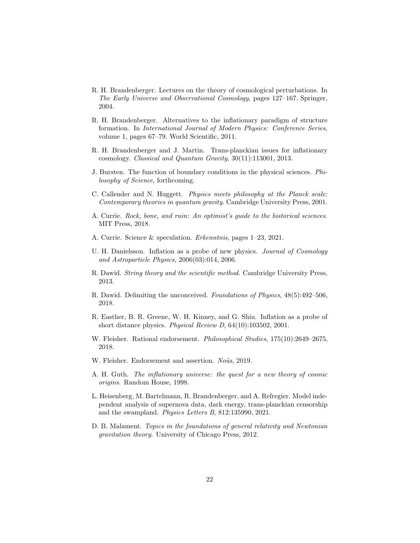- <span id="page-21-4"></span>R. H. Brandenberger. Lectures on the theory of cosmological perturbations. In The Early Universe and Observational Cosmology, pages 127–167. Springer, 2004.
- <span id="page-21-5"></span>R. H. Brandenberger. Alternatives to the inflationary paradigm of structure formation. In International Journal of Modern Physics: Conference Series, volume 1, pages 67–79. World Scientific, 2011.
- <span id="page-21-11"></span>R. H. Brandenberger and J. Martin. Trans-planckian issues for inflationary cosmology. Classical and Quantum Gravity, 30(11):113001, 2013.
- <span id="page-21-6"></span>J. Bursten. The function of boundary conditions in the physical sciences. Philosophy of Science, forthcoming.
- <span id="page-21-8"></span>C. Callender and N. Huggett. Physics meets philosophy at the Planck scale: Contemporary theories in quantum gravity. Cambridge University Press, 2001.
- <span id="page-21-12"></span>A. Currie. Rock, bone, and ruin: An optimist's guide to the historical sciences. MIT Press, 2018.
- <span id="page-21-13"></span>A. Currie. Science & speculation. Erkenntnis, pages 1–23, 2021.
- <span id="page-21-10"></span>U. H. Danielsson. Inflation as a probe of new physics. *Journal of Cosmology* and Astroparticle Physics, 2006(03):014, 2006.
- <span id="page-21-1"></span>R. Dawid. String theory and the scientific method. Cambridge University Press, 2013.
- <span id="page-21-2"></span>R. Dawid. Delimiting the unconceived. Foundations of Physics, 48(5):492–506, 2018.
- <span id="page-21-9"></span>R. Easther, B. R. Greene, W. H. Kinney, and G. Shiu. Inflation as a probe of short distance physics. Physical Review D, 64(10):103502, 2001.
- <span id="page-21-14"></span>W. Fleisher. Rational endorsement. Philosophical Studies, 175(10):2649–2675, 2018.
- <span id="page-21-15"></span>W. Fleisher. Endorsement and assertion. Noûs, 2019.
- <span id="page-21-7"></span>A. H. Guth. The inflationary universe: the quest for a new theory of cosmic origins. Random House, 1998.
- <span id="page-21-0"></span>L. Heisenberg, M. Bartelmann, R. Brandenberger, and A. Refregier. Model independent analysis of supernova data, dark energy, trans-planckian censorship and the swampland. Physics Letters B, 812:135990, 2021.
- <span id="page-21-3"></span>D. B. Malament. Topics in the foundations of general relativity and Newtonian gravitation theory. University of Chicago Press, 2012.